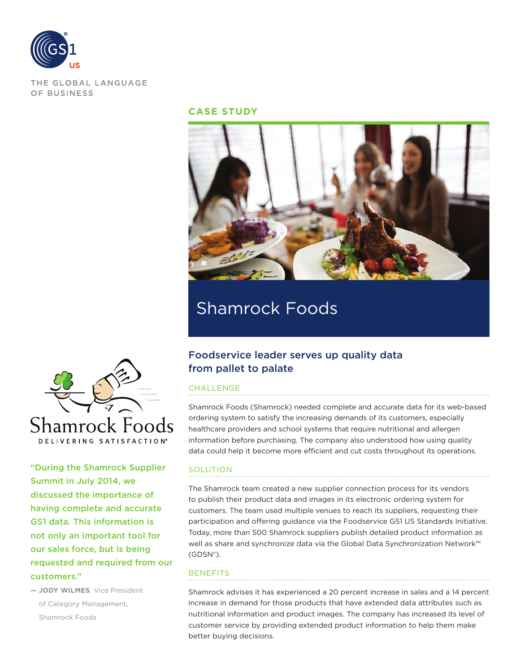

THE GLOBAL LANGUAGE OF BUSINESS

### **CASE STUDY**



# Shamrock Foods



"During the Shamrock Supplier Summit in July 2014, we discussed the importance of having complete and accurate GS1 data. This information is not only an important tool for our sales force, but is being requested and required from our customers."

**— JODY WILMES**, Vice President of Category Management, Shamrock Foods

## Foodservice leader serves up quality data from pallet to palate

#### CHALLENGE

Shamrock Foods (Shamrock) needed complete and accurate data for its web-based ordering system to satisfy the increasing demands of its customers, especially healthcare providers and school systems that require nutritional and allergen information before purchasing. The company also understood how using quality data could help it become more efficient and cut costs throughout its operations.

#### SOLUTION

The Shamrock team created a new supplier connection process for its vendors to publish their product data and images in its electronic ordering system for customers. The team used multiple venues to reach its suppliers, requesting their participation and offering guidance via the Foodservice GS1 US Standards Initiative. Today, more than 500 Shamrock suppliers publish detailed product information as well as share and synchronize data via the Global Data Synchronization Network™ (GDSN®).

#### **BENEFITS**

Shamrock advises it has experienced a 20 percent increase in sales and a 14 percent increase in demand for those products that have extended data attributes such as nutritional information and product images. The company has increased its level of customer service by providing extended product information to help them make better buying decisions.